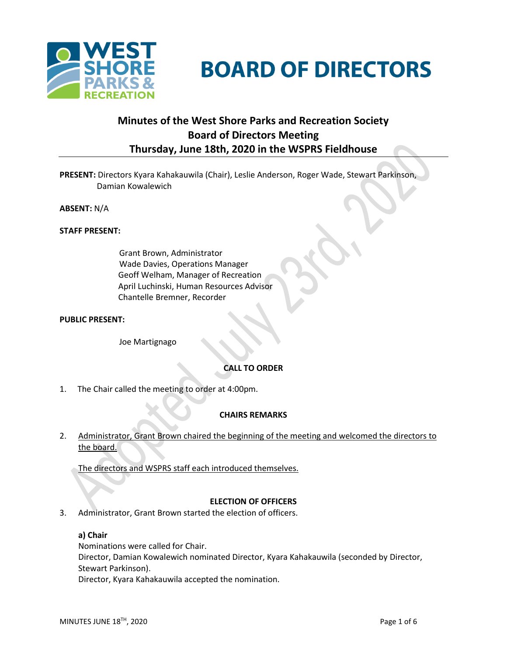

# **BOARD OF DIRECTORS**

# **Minutes of the West Shore Parks and Recreation Society Board of Directors Meeting Thursday, June 18th, 2020 in the WSPRS Fieldhouse**

**PRESENT:** Directors Kyara Kahakauwila (Chair), Leslie Anderson, Roger Wade, Stewart Parkinson, Damian Kowalewich

**ABSENT:** N/A

#### **STAFF PRESENT:**

Grant Brown, Administrator Wade Davies, Operations Manager Geoff Welham, Manager of Recreation April Luchinski, Human Resources Advisor Chantelle Bremner, Recorder

#### **PUBLIC PRESENT:**

Joe Martignago

# **CALL TO ORDER**

1. The Chair called the meeting to order at 4:00pm.

#### **CHAIRS REMARKS**

2. Administrator, Grant Brown chaired the beginning of the meeting and welcomed the directors to the board.

The directors and WSPRS staff each introduced themselves.

#### **ELECTION OF OFFICERS**

3. Administrator, Grant Brown started the election of officers.

#### **a) Chair**

Nominations were called for Chair. Director, Damian Kowalewich nominated Director, Kyara Kahakauwila (seconded by Director, Stewart Parkinson). Director, Kyara Kahakauwila accepted the nomination.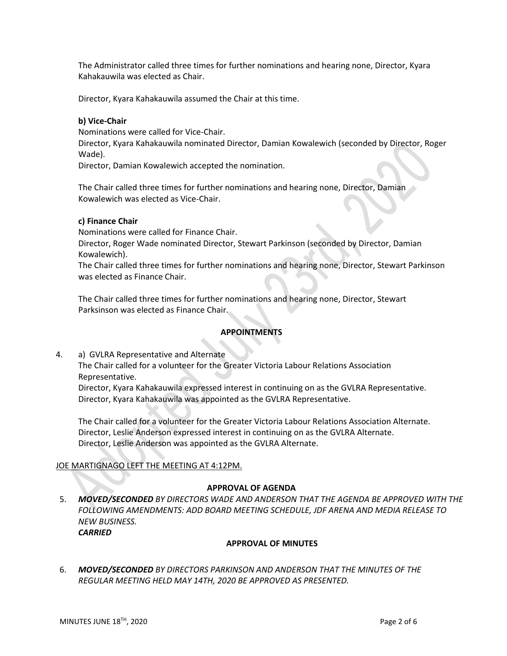The Administrator called three times for further nominations and hearing none, Director, Kyara Kahakauwila was elected as Chair.

Director, Kyara Kahakauwila assumed the Chair at this time.

# **b) Vice-Chair**

Nominations were called for Vice-Chair.

Director, Kyara Kahakauwila nominated Director, Damian Kowalewich (seconded by Director, Roger Wade).

Director, Damian Kowalewich accepted the nomination.

The Chair called three times for further nominations and hearing none, Director, Damian Kowalewich was elected as Vice-Chair.

#### **c) Finance Chair**

Nominations were called for Finance Chair.

Director, Roger Wade nominated Director, Stewart Parkinson (seconded by Director, Damian Kowalewich).

The Chair called three times for further nominations and hearing none, Director, Stewart Parkinson was elected as Finance Chair.

The Chair called three times for further nominations and hearing none, Director, Stewart Parksinson was elected as Finance Chair.

# **APPOINTMENTS**

4. a) GVLRA Representative and Alternate

The Chair called for a volunteer for the Greater Victoria Labour Relations Association Representative.

Director, Kyara Kahakauwila expressed interest in continuing on as the GVLRA Representative. Director, Kyara Kahakauwila was appointed as the GVLRA Representative.

The Chair called for a volunteer for the Greater Victoria Labour Relations Association Alternate. Director, Leslie Anderson expressed interest in continuing on as the GVLRA Alternate. Director, Leslie Anderson was appointed as the GVLRA Alternate.

# JOE MARTIGNAGO LEFT THE MEETING AT 4:12PM.

#### **APPROVAL OF AGENDA**

5. *MOVED/SECONDED BY DIRECTORS WADE AND ANDERSON THAT THE AGENDA BE APPROVED WITH THE FOLLOWING AMENDMENTS: ADD BOARD MEETING SCHEDULE, JDF ARENA AND MEDIA RELEASE TO NEW BUSINESS. CARRIED*

# **APPROVAL OF MINUTES**

6. *MOVED/SECONDED BY DIRECTORS PARKINSON AND ANDERSON THAT THE MINUTES OF THE REGULAR MEETING HELD MAY 14TH, 2020 BE APPROVED AS PRESENTED.*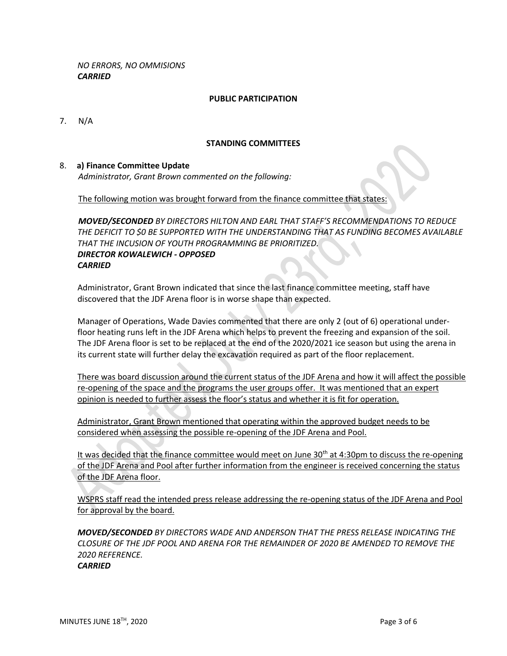*NO ERRORS, NO OMMISIONS CARRIED*

#### **PUBLIC PARTICIPATION**

7. N/A

#### **STANDING COMMITTEES**

#### 8. **a) Finance Committee Update**

*Administrator, Grant Brown commented on the following:*

The following motion was brought forward from the finance committee that states:

*MOVED/SECONDED BY DIRECTORS HILTON AND EARL THAT STAFF'S RECOMMENDATIONS TO REDUCE THE DEFICIT TO \$0 BE SUPPORTED WITH THE UNDERSTANDING THAT AS FUNDING BECOMES AVAILABLE THAT THE INCUSION OF YOUTH PROGRAMMING BE PRIORITIZED. DIRECTOR KOWALEWICH - OPPOSED CARRIED*

Administrator, Grant Brown indicated that since the last finance committee meeting, staff have discovered that the JDF Arena floor is in worse shape than expected.

Manager of Operations, Wade Davies commented that there are only 2 (out of 6) operational underfloor heating runs left in the JDF Arena which helps to prevent the freezing and expansion of the soil. The JDF Arena floor is set to be replaced at the end of the 2020/2021 ice season but using the arena in its current state will further delay the excavation required as part of the floor replacement.

There was board discussion around the current status of the JDF Arena and how it will affect the possible re-opening of the space and the programs the user groups offer. It was mentioned that an expert opinion is needed to further assess the floor's status and whether it is fit for operation.

Administrator, Grant Brown mentioned that operating within the approved budget needs to be considered when assessing the possible re-opening of the JDF Arena and Pool.

It was decided that the finance committee would meet on June  $30<sup>th</sup>$  at 4:30pm to discuss the re-opening of the JDF Arena and Pool after further information from the engineer is received concerning the status of the JDF Arena floor.

WSPRS staff read the intended press release addressing the re-opening status of the JDF Arena and Pool for approval by the board.

*MOVED/SECONDED BY DIRECTORS WADE AND ANDERSON THAT THE PRESS RELEASE INDICATING THE CLOSURE OF THE JDF POOL AND ARENA FOR THE REMAINDER OF 2020 BE AMENDED TO REMOVE THE 2020 REFERENCE.*

*CARRIED*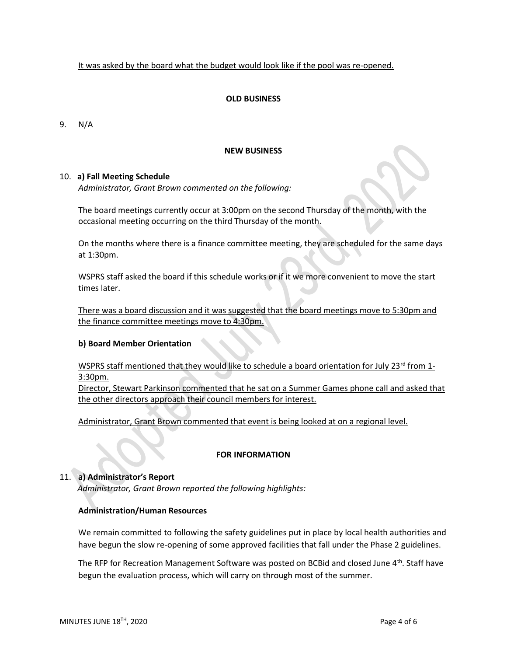It was asked by the board what the budget would look like if the pool was re-opened.

#### **OLD BUSINESS**

9. N/A

#### **NEW BUSINESS**

#### 10. **a) Fall Meeting Schedule**

*Administrator, Grant Brown commented on the following:*

The board meetings currently occur at 3:00pm on the second Thursday of the month, with the occasional meeting occurring on the third Thursday of the month.

On the months where there is a finance committee meeting, they are scheduled for the same days at 1:30pm.

WSPRS staff asked the board if this schedule works or if it we more convenient to move the start times later.

There was a board discussion and it was suggested that the board meetings move to 5:30pm and the finance committee meetings move to 4:30pm.

#### **b) Board Member Orientation**

WSPRS staff mentioned that they would like to schedule a board orientation for July 23<sup>rd</sup> from 1-3:30pm.

Director, Stewart Parkinson commented that he sat on a Summer Games phone call and asked that the other directors approach their council members for interest.

Administrator, Grant Brown commented that event is being looked at on a regional level.

# **FOR INFORMATION**

# 11. **a) Administrator's Report**

*Administrator, Grant Brown reported the following highlights:* 

# **Administration/Human Resources**

We remain committed to following the safety guidelines put in place by local health authorities and have begun the slow re-opening of some approved facilities that fall under the Phase 2 guidelines.

The RFP for Recreation Management Software was posted on BCBid and closed June 4<sup>th</sup>. Staff have begun the evaluation process, which will carry on through most of the summer.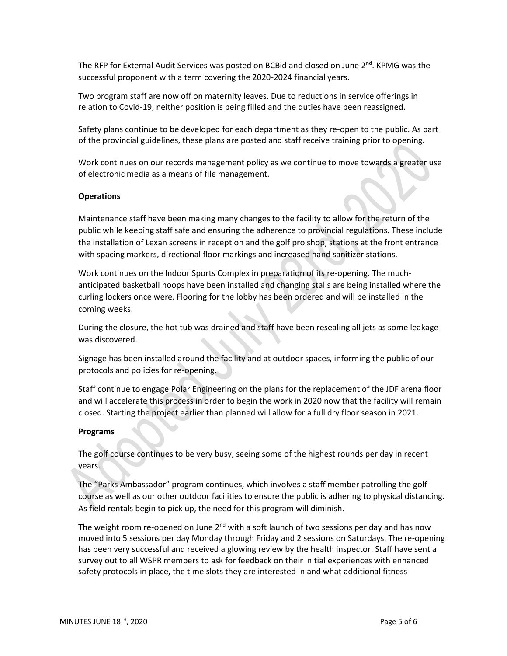The RFP for External Audit Services was posted on BCBid and closed on June  $2^{nd}$ . KPMG was the successful proponent with a term covering the 2020-2024 financial years.

Two program staff are now off on maternity leaves. Due to reductions in service offerings in relation to Covid-19, neither position is being filled and the duties have been reassigned.

Safety plans continue to be developed for each department as they re-open to the public. As part of the provincial guidelines, these plans are posted and staff receive training prior to opening.

Work continues on our records management policy as we continue to move towards a greater use of electronic media as a means of file management.

#### **Operations**

Maintenance staff have been making many changes to the facility to allow for the return of the public while keeping staff safe and ensuring the adherence to provincial regulations. These include the installation of Lexan screens in reception and the golf pro shop, stations at the front entrance with spacing markers, directional floor markings and increased hand sanitizer stations.

Work continues on the Indoor Sports Complex in preparation of its re-opening. The muchanticipated basketball hoops have been installed and changing stalls are being installed where the curling lockers once were. Flooring for the lobby has been ordered and will be installed in the coming weeks.

During the closure, the hot tub was drained and staff have been resealing all jets as some leakage was discovered.

Signage has been installed around the facility and at outdoor spaces, informing the public of our protocols and policies for re-opening.

Staff continue to engage Polar Engineering on the plans for the replacement of the JDF arena floor and will accelerate this process in order to begin the work in 2020 now that the facility will remain closed. Starting the project earlier than planned will allow for a full dry floor season in 2021.

#### **Programs**

The golf course continues to be very busy, seeing some of the highest rounds per day in recent years.

The "Parks Ambassador" program continues, which involves a staff member patrolling the golf course as well as our other outdoor facilities to ensure the public is adhering to physical distancing. As field rentals begin to pick up, the need for this program will diminish.

The weight room re-opened on June  $2^{nd}$  with a soft launch of two sessions per day and has now moved into 5 sessions per day Monday through Friday and 2 sessions on Saturdays. The re-opening has been very successful and received a glowing review by the health inspector. Staff have sent a survey out to all WSPR members to ask for feedback on their initial experiences with enhanced safety protocols in place, the time slots they are interested in and what additional fitness